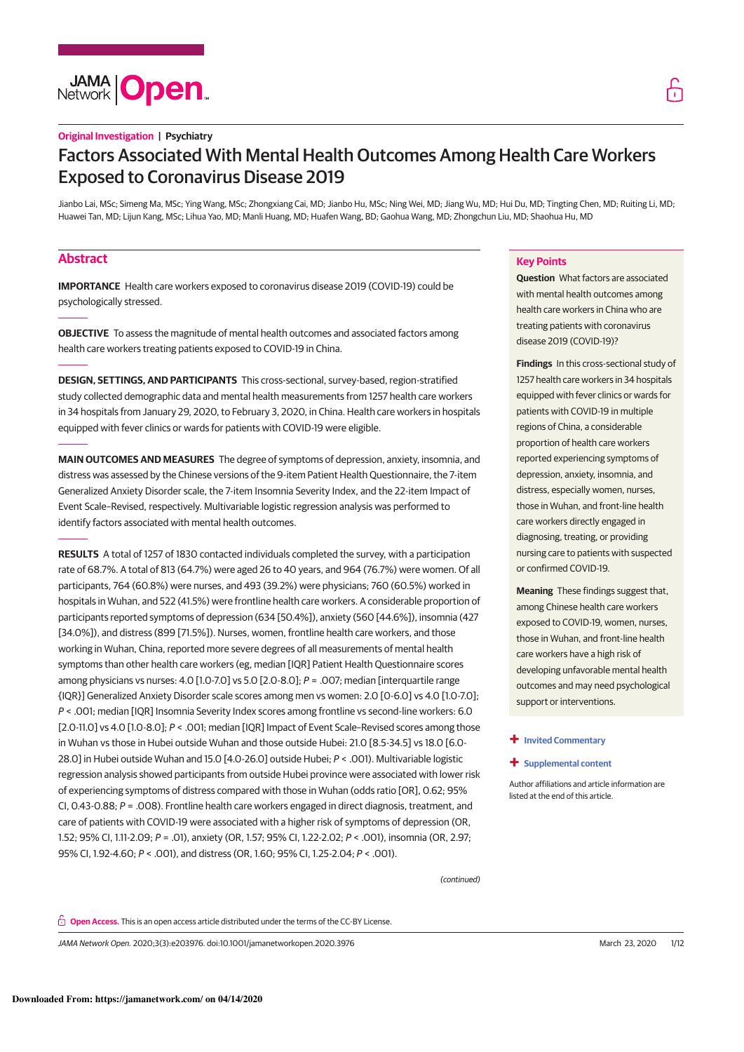# **Original Investigation | Psychiatry** Factors Associated With Mental Health Outcomes Among Health Care Workers Exposed to Coronavirus Disease 2019

Jianbo Lai, MSc; Simeng Ma, MSc; Ying Wang, MSc; Zhongxiang Cai, MD; Jianbo Hu, MSc; Ning Wei, MD; Jiang Wu, MD; Hui Du, MD; Tingting Chen, MD; Ruiting Li, MD; Huawei Tan, MD; Lijun Kang, MSc; Lihua Yao, MD; Manli Huang, MD; Huafen Wang, BD; Gaohua Wang, MD; Zhongchun Liu, MD; Shaohua Hu, MD

# **Abstract**

**IMPORTANCE** Health care workers exposed to coronavirus disease 2019 (COVID-19) could be psychologically stressed.

**OBJECTIVE** To assess the magnitude of mental health outcomes and associated factors among health care workers treating patients exposed to COVID-19 in China.

**DESIGN, SETTINGS, AND PARTICIPANTS** This cross-sectional, survey-based, region-stratified study collected demographic data and mental health measurements from 1257 health care workers in 34 hospitals from January 29, 2020, to February 3, 2020, in China. Health care workers in hospitals equipped with fever clinics or wards for patients with COVID-19 were eligible.

**MAIN OUTCOMES AND MEASURES** The degree of symptoms of depression, anxiety, insomnia, and distress was assessed by the Chinese versions of the 9-item Patient Health Questionnaire, the 7-item Generalized Anxiety Disorder scale, the 7-item Insomnia Severity Index, and the 22-item Impact of Event Scale–Revised, respectively. Multivariable logistic regression analysis was performed to identify factors associated with mental health outcomes.

**RESULTS** A total of 1257 of 1830 contacted individuals completed the survey, with a participation rate of 68.7%. A total of 813 (64.7%) were aged 26 to 40 years, and 964 (76.7%) were women. Of all participants, 764 (60.8%) were nurses, and 493 (39.2%) were physicians; 760 (60.5%) worked in hospitals in Wuhan, and 522 (41.5%) were frontline health care workers. A considerable proportion of participants reported symptoms of depression (634 [50.4%]), anxiety (560 [44.6%]), insomnia (427 [34.0%]), and distress (899 [71.5%]). Nurses, women, frontline health care workers, and those working in Wuhan, China, reported more severe degrees of all measurements of mental health symptoms than other health care workers (eg, median [IQR] Patient Health Questionnaire scores among physicians vs nurses: 4.0 [1.0-7.0] vs 5.0 [2.0-8.0];  $P = .007$ ; median [interquartile range {IQR}] Generalized Anxiety Disorder scale scores among men vs women: 2.0 [0-6.0] vs 4.0 [1.0-7.0]; P < .001; median [IQR] Insomnia Severity Index scores among frontline vs second-line workers: 6.0 [2.0-11.0] vs 4.0 [1.0-8.0]; P < .001; median [IQR] Impact of Event Scale-Revised scores among those in Wuhan vs those in Hubei outside Wuhan and those outside Hubei: 21.0 [8.5-34.5] vs 18.0 [6.0- 28.0] in Hubei outside Wuhan and 15.0 [4.0-26.0] outside Hubei; P < .001). Multivariable logistic regression analysis showed participants from outside Hubei province were associated with lower risk of experiencing symptoms of distress compared with those in Wuhan (odds ratio [OR], 0.62; 95% CI, 0.43-0.88;  $P = .008$ ). Frontline health care workers engaged in direct diagnosis, treatment, and care of patients with COVID-19 were associated with a higher risk of symptoms of depression (OR, 1.52; 95% CI, 1.11-2.09; P = .01), anxiety (OR, 1.57; 95% CI, 1.22-2.02; P < .001), insomnia (OR, 2.97; 95% CI, 1.92-4.60; P < .001), and distress (OR, 1.60; 95% CI, 1.25-2.04; P < .001).

# **Key Points**

**Question** What factors are associated with mental health outcomes among health care workers in China who are treating patients with coronavirus disease 2019 (COVID-19)?

**Findings** In this cross-sectional study of 1257 health care workers in 34 hospitals equipped with fever clinics or wards for patients with COVID-19 in multiple regions of China, a considerable proportion of health care workers reported experiencing symptoms of depression, anxiety, insomnia, and distress, especially women, nurses, those in Wuhan, and front-line health care workers directly engaged in diagnosing, treating, or providing nursing care to patients with suspected or confirmed COVID-19.

**Meaning** These findings suggest that, among Chinese health care workers exposed to COVID-19, women, nurses, those in Wuhan, and front-line health care workers have a high risk of developing unfavorable mental health outcomes and may need psychological support or interventions.

# **+ Invited Commentary**

### **+ Supplemental content**

Author affiliations and article information are listed at the end of this article.

(continued)

**Open Access.** This is an open access article distributed under the terms of the CC-BY License.

JAMA Network Open. 2020;3(3):e203976. doi:10.1001/jamanetworkopen.2020.3976 (Reprinted) March 23, 2020 1/12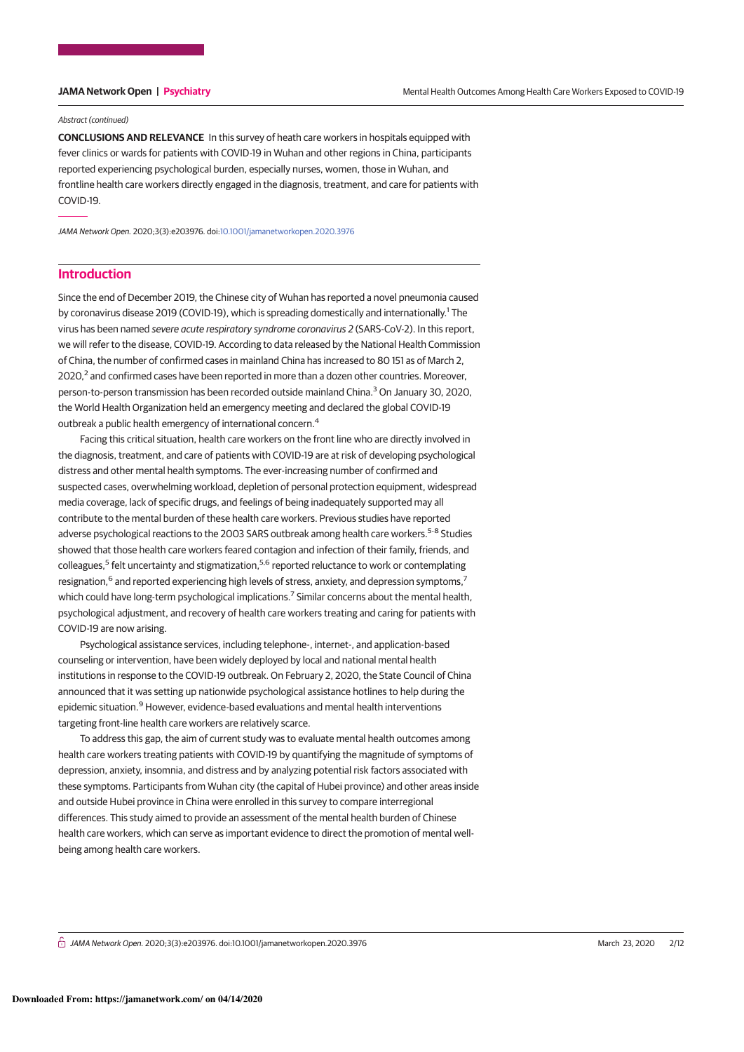### Abstract (continued)

**CONCLUSIONS AND RELEVANCE** In this survey of heath care workers in hospitals equipped with fever clinics or wards for patients with COVID-19 in Wuhan and other regions in China, participants reported experiencing psychological burden, especially nurses, women, those in Wuhan, and frontline health care workers directly engaged in the diagnosis, treatment, and care for patients with COVID-19.

JAMA Network Open. 2020;3(3):e203976. doi:10.1001/jamanetworkopen.2020.3976

# **Introduction**

Since the end of December 2019, the Chinese city of Wuhan has reported a novel pneumonia caused by coronavirus disease 2019 (COVID-19), which is spreading domestically and internationally.<sup>1</sup> The virus has been named severe acute respiratory syndrome coronavirus 2 (SARS-CoV-2). In this report, we will refer to the disease, COVID-19. According to data released by the National Health Commission of China, the number of confirmed cases in mainland China has increased to 80 151 as of March 2, 2020,<sup>2</sup> and confirmed cases have been reported in more than a dozen other countries. Moreover, person-to-person transmission has been recorded outside mainland China.<sup>3</sup> On January 30, 2020, the World Health Organization held an emergency meeting and declared the global COVID-19 outbreak a public health emergency of international concern.<sup>4</sup>

Facing this critical situation, health care workers on the front line who are directly involved in the diagnosis, treatment, and care of patients with COVID-19 are at risk of developing psychological distress and other mental health symptoms. The ever-increasing number of confirmed and suspected cases, overwhelming workload, depletion of personal protection equipment, widespread media coverage, lack of specific drugs, and feelings of being inadequately supported may all contribute to the mental burden of these health care workers. Previous studies have reported adverse psychological reactions to the 2003 SARS outbreak among health care workers.<sup>5-8</sup> Studies showed that those health care workers feared contagion and infection of their family, friends, and colleagues,<sup>5</sup> felt uncertainty and stigmatization,<sup>5,6</sup> reported reluctance to work or contemplating resignation,<sup>6</sup> and reported experiencing high levels of stress, anxiety, and depression symptoms,<sup>7</sup> which could have long-term psychological implications.<sup>7</sup> Similar concerns about the mental health, psychological adjustment, and recovery of health care workers treating and caring for patients with COVID-19 are now arising.

Psychological assistance services, including telephone-, internet-, and application-based counseling or intervention, have been widely deployed by local and national mental health institutions in response to the COVID-19 outbreak. On February 2, 2020, the State Council of China announced that it was setting up nationwide psychological assistance hotlines to help during the epidemic situation.<sup>9</sup> However, evidence-based evaluations and mental health interventions targeting front-line health care workers are relatively scarce.

To address this gap, the aim of current study was to evaluate mental health outcomes among health care workers treating patients with COVID-19 by quantifying the magnitude of symptoms of depression, anxiety, insomnia, and distress and by analyzing potential risk factors associated with these symptoms. Participants from Wuhan city (the capital of Hubei province) and other areas inside and outside Hubei province in China were enrolled in this survey to compare interregional differences. This study aimed to provide an assessment of the mental health burden of Chinese health care workers, which can serve as important evidence to direct the promotion of mental wellbeing among health care workers.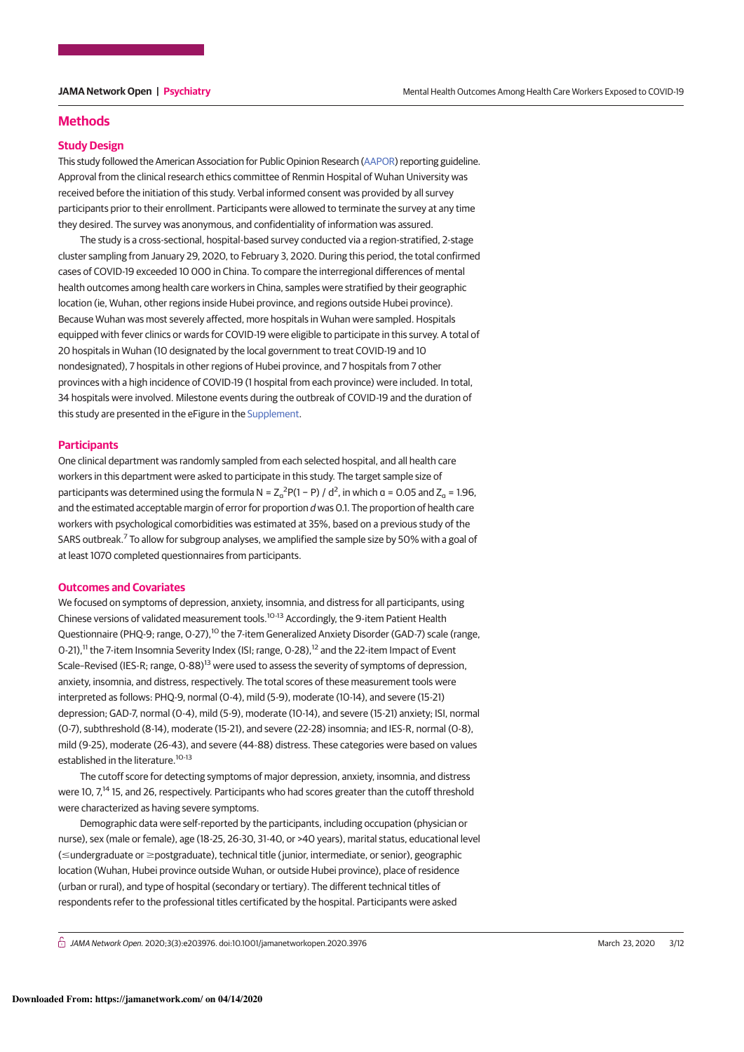# **Methods**

## **Study Design**

This study followed the American Association for Public Opinion Research (AAPOR) reporting guideline. Approval from the clinical research ethics committee of Renmin Hospital of Wuhan University was received before the initiation of this study. Verbal informed consent was provided by all survey participants prior to their enrollment. Participants were allowed to terminate the survey at any time they desired. The survey was anonymous, and confidentiality of information was assured.

The study is a cross-sectional, hospital-based survey conducted via a region-stratified, 2-stage cluster sampling from January 29, 2020, to February 3, 2020. During this period, the total confirmed cases of COVID-19 exceeded 10 000 in China. To compare the interregional differences of mental health outcomes among health care workers in China, samples were stratified by their geographic location (ie, Wuhan, other regions inside Hubei province, and regions outside Hubei province). Because Wuhan was most severely affected, more hospitals in Wuhan were sampled. Hospitals equipped with fever clinics or wards for COVID-19 were eligible to participate in this survey. A total of 20 hospitals in Wuhan (10 designated by the local government to treat COVID-19 and 10 nondesignated), 7 hospitals in other regions of Hubei province, and 7 hospitals from 7 other provinces with a high incidence of COVID-19 (1 hospital from each province) were included. In total, 34 hospitals were involved. Milestone events during the outbreak of COVID-19 and the duration of this study are presented in the eFigure in the Supplement.

# **Participants**

One clinical department was randomly sampled from each selected hospital, and all health care workers in this department were asked to participate in this study. The target sample size of participants was determined using the formula N =  $Z_\text{o}{}^2$ P(1 – P) / d<sup>2</sup>, in which α = 0.05 and  $Z_\text{o}$  = 1.96, and the estimated acceptable margin of error for proportion d was 0.1. The proportion of health care workers with psychological comorbidities was estimated at 35%, based on a previous study of the SARS outbreak.<sup>7</sup> To allow for subgroup analyses, we amplified the sample size by 50% with a goal of at least 1070 completed questionnaires from participants.

### **Outcomes and Covariates**

We focused on symptoms of depression, anxiety, insomnia, and distress for all participants, using Chinese versions of validated measurement tools.<sup>10-13</sup> Accordingly, the 9-item Patient Health Questionnaire (PHQ-9; range, 0-27),<sup>10</sup> the 7-item Generalized Anxiety Disorder (GAD-7) scale (range, 0-21),<sup>11</sup> the 7-item Insomnia Severity Index (ISI; range, 0-28),<sup>12</sup> and the 22-item Impact of Event Scale–Revised (IES-R; range, 0-88)<sup>13</sup> were used to assess the severity of symptoms of depression, anxiety, insomnia, and distress, respectively. The total scores of these measurement tools were interpreted as follows: PHQ-9, normal (0-4), mild (5-9), moderate (10-14), and severe (15-21) depression; GAD-7, normal (0-4), mild (5-9), moderate (10-14), and severe (15-21) anxiety; ISI, normal (0-7), subthreshold (8-14), moderate (15-21), and severe (22-28) insomnia; and IES-R, normal (0-8), mild (9-25), moderate (26-43), and severe (44-88) distress. These categories were based on values established in the literature.<sup>10-13</sup>

The cutoff score for detecting symptoms of major depression, anxiety, insomnia, and distress were 10, 7,<sup>14</sup> 15, and 26, respectively. Participants who had scores greater than the cutoff threshold were characterized as having severe symptoms.

Demographic data were self-reported by the participants, including occupation (physician or nurse), sex (male or female), age (18-25, 26-30, 31-40, or >40 years), marital status, educational level (≤undergraduate or ≥postgraduate), technical title (junior, intermediate, or senior), geographic location (Wuhan, Hubei province outside Wuhan, or outside Hubei province), place of residence (urban or rural), and type of hospital (secondary or tertiary). The different technical titles of respondents refer to the professional titles certificated by the hospital. Participants were asked

 $G$  JAMA Network Open. 2020;3(3):e203976. doi:10.1001/jamanetworkopen.2020.3976 (Reprinted) March 23, 2020 3/12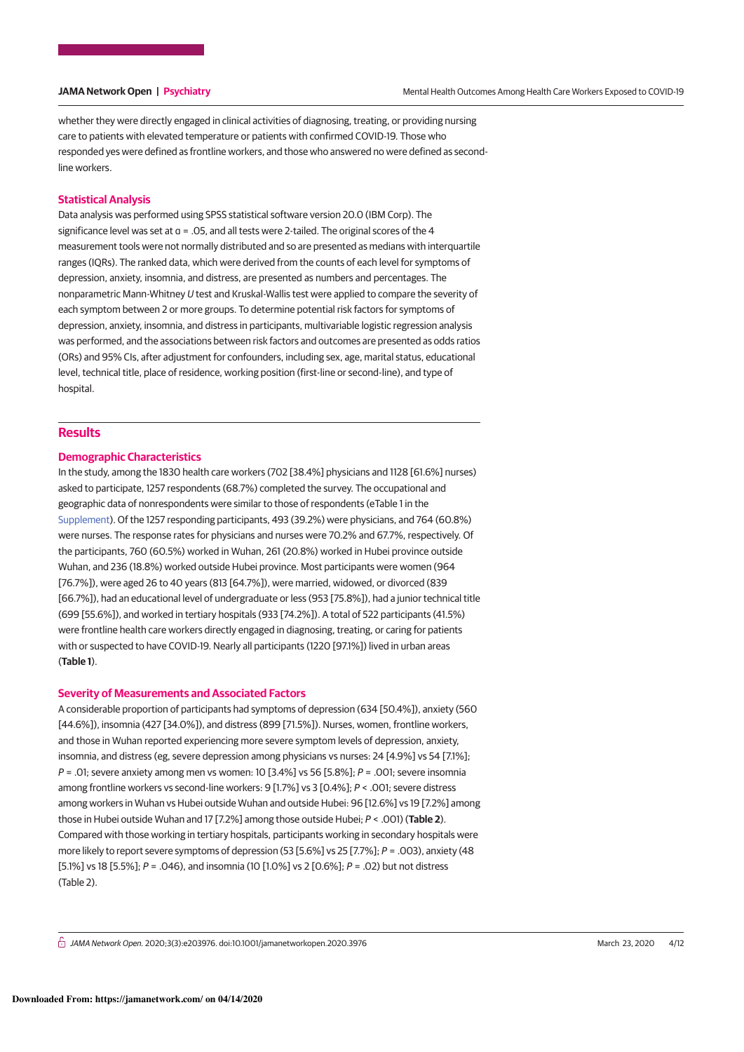whether they were directly engaged in clinical activities of diagnosing, treating, or providing nursing care to patients with elevated temperature or patients with confirmed COVID-19. Those who responded yes were defined as frontline workers, and those who answered no were defined as secondline workers.

# **Statistical Analysis**

Data analysis was performed using SPSS statistical software version 20.0 (IBM Corp). The significance level was set at  $a = 0.05$ , and all tests were 2-tailed. The original scores of the 4 measurement tools were not normally distributed and so are presented as medians with interquartile ranges (IQRs). The ranked data, which were derived from the counts of each level for symptoms of depression, anxiety, insomnia, and distress, are presented as numbers and percentages. The nonparametric Mann-Whitney U test and Kruskal-Wallis test were applied to compare the severity of each symptom between 2 or more groups. To determine potential risk factors for symptoms of depression, anxiety, insomnia, and distress in participants, multivariable logistic regression analysis was performed, and the associations between risk factors and outcomes are presented as odds ratios (ORs) and 95% CIs, after adjustment for confounders, including sex, age, marital status, educational level, technical title, place of residence, working position (first-line or second-line), and type of hospital.

# **Results**

# **Demographic Characteristics**

In the study, among the 1830 health care workers (702 [38.4%] physicians and 1128 [61.6%] nurses) asked to participate, 1257 respondents (68.7%) completed the survey. The occupational and geographic data of nonrespondents were similar to those of respondents (eTable 1 in the Supplement). Of the 1257 responding participants, 493 (39.2%) were physicians, and 764 (60.8%) were nurses. The response rates for physicians and nurses were 70.2% and 67.7%, respectively. Of the participants, 760 (60.5%) worked in Wuhan, 261 (20.8%) worked in Hubei province outside Wuhan, and 236 (18.8%) worked outside Hubei province. Most participants were women (964 [76.7%]), were aged 26 to 40 years (813 [64.7%]), were married, widowed, or divorced (839 [66.7%]), had an educational level of undergraduate or less (953 [75.8%]), had a junior technical title (699 [55.6%]), and worked in tertiary hospitals (933 [74.2%]). A total of 522 participants (41.5%) were frontline health care workers directly engaged in diagnosing, treating, or caring for patients with or suspected to have COVID-19. Nearly all participants (1220 [97.1%]) lived in urban areas (**Table 1**).

## **Severity of Measurements and Associated Factors**

A considerable proportion of participants had symptoms of depression (634 [50.4%]), anxiety (560 [44.6%]), insomnia (427 [34.0%]), and distress (899 [71.5%]). Nurses, women, frontline workers, and those in Wuhan reported experiencing more severe symptom levels of depression, anxiety, insomnia, and distress (eg, severe depression among physicians vs nurses: 24 [4.9%] vs 54 [7.1%];  $P = .01$ ; severe anxiety among men vs women: 10 [3.4%] vs 56 [5.8%];  $P = .001$ ; severe insomnia among frontline workers vs second-line workers: 9 [1.7%] vs 3 [0.4%]; P < .001; severe distress among workers in Wuhan vs Hubei outside Wuhan and outside Hubei: 96 [12.6%] vs 19 [7.2%] among those in Hubei outside Wuhan and 17 [7.2%] among those outside Hubei; P < .001) (**Table 2**). Compared with those working in tertiary hospitals, participants working in secondary hospitals were more likely to report severe symptoms of depression (53 [5.6%] vs 25 [7.7%]; P = .003), anxiety (48 [5.1%] vs 18 [5.5%];  $P = .046$ ), and insomnia (10 [1.0%] vs 2 [0.6%];  $P = .02$ ) but not distress (Table 2).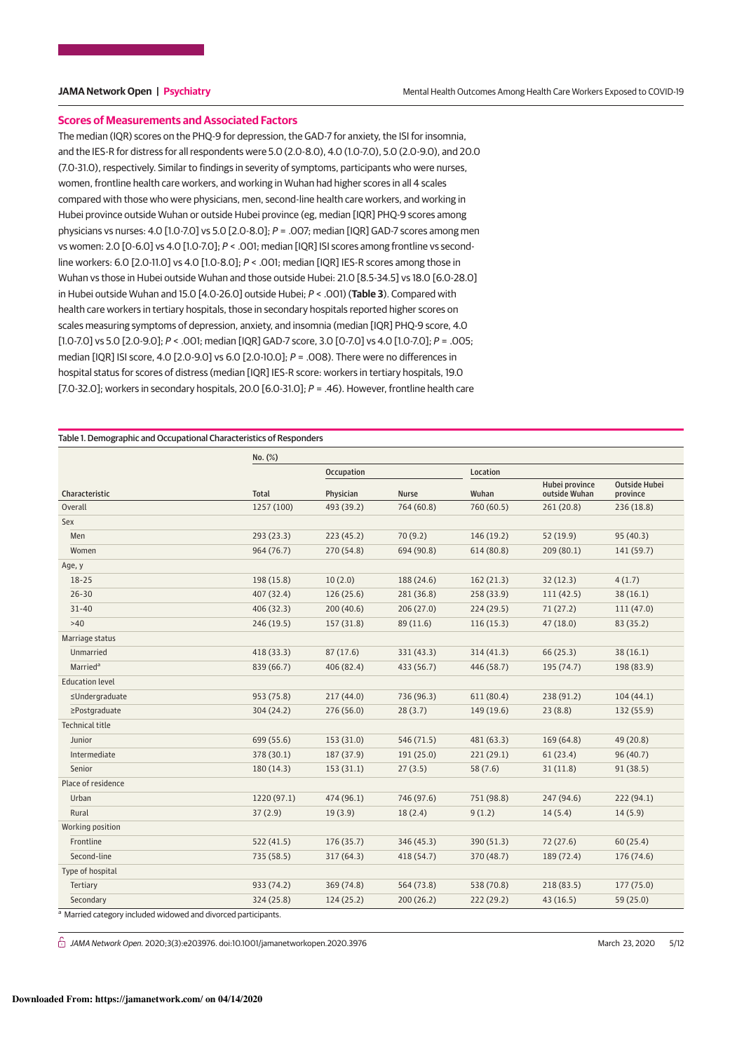# **Scores of Measurements and Associated Factors**

The median (IQR) scores on the PHQ-9 for depression, the GAD-7 for anxiety, the ISI for insomnia, and the IES-R for distress for all respondents were 5.0 (2.0-8.0), 4.0 (1.0-7.0), 5.0 (2.0-9.0), and 20.0 (7.0-31.0), respectively. Similar to findings in severity of symptoms, participants who were nurses, women, frontline health care workers, and working in Wuhan had higher scores in all 4 scales compared with those who were physicians, men, second-line health care workers, and working in Hubei province outside Wuhan or outside Hubei province (eg, median [IQR] PHQ-9 scores among physicians vs nurses: 4.0 [1.0-7.0] vs 5.0 [2.0-8.0]; P = .007; median [IQR] GAD-7 scores among men vs women: 2.0 [0-6.0] vs 4.0 [1.0-7.0]; P < .001; median [IQR] ISI scores among frontline vs secondline workers: 6.0 [2.0-11.0] vs 4.0 [1.0-8.0]; P < .001; median [IQR] IES-R scores among those in Wuhan vs those in Hubei outside Wuhan and those outside Hubei: 21.0 [8.5-34.5] vs 18.0 [6.0-28.0] in Hubei outside Wuhan and 15.0 [4.0-26.0] outside Hubei; P < .001) (**Table 3**). Compared with health care workers in tertiary hospitals, those in secondary hospitals reported higher scores on scales measuring symptoms of depression, anxiety, and insomnia (median [IQR] PHQ-9 score, 4.0 [1.0-7.0] vs 5.0 [2.0-9.0]; P < .001; median [IQR] GAD-7 score, 3.0 [0-7.0] vs 4.0 [1.0-7.0]; P = .005; median [IQR] ISI score, 4.0 [2.0-9.0] vs 6.0 [2.0-10.0]; P = .008). There were no differences in hospital status for scores of distress (median [IQR] IES-R score: workers in tertiary hospitals, 19.0 [7.0-32.0]; workers in secondary hospitals, 20.0 [6.0-31.0];  $P = .46$ ). However, frontline health care

Table 1. Demographic and Occupational Characteristics of Responders

|                        | No. (%)      |            |              |            |                                 |                                  |
|------------------------|--------------|------------|--------------|------------|---------------------------------|----------------------------------|
|                        |              | Occupation |              | Location   |                                 |                                  |
| Characteristic         | <b>Total</b> | Physician  | <b>Nurse</b> | Wuhan      | Hubei province<br>outside Wuhan | <b>Outside Hubei</b><br>province |
| Overall                | 1257 (100)   | 493 (39.2) | 764 (60.8)   | 760 (60.5) | 261(20.8)                       | 236 (18.8)                       |
| Sex                    |              |            |              |            |                                 |                                  |
| Men                    | 293(23.3)    | 223(45.2)  | 70(9.2)      | 146 (19.2) | 52(19.9)                        | 95(40.3)                         |
| Women                  | 964(76.7)    | 270 (54.8) | 694 (90.8)   | 614 (80.8) | 209(80.1)                       | 141(59.7)                        |
| Age, y                 |              |            |              |            |                                 |                                  |
| $18 - 25$              | 198 (15.8)   | 10(2.0)    | 188 (24.6)   | 162(21.3)  | 32(12.3)                        | 4(1.7)                           |
| $26 - 30$              | 407 (32.4)   | 126(25.6)  | 281 (36.8)   | 258 (33.9) | 111(42.5)                       | 38(16.1)                         |
| $31 - 40$              | 406(32.3)    | 200(40.6)  | 206(27.0)    | 224(29.5)  | 71(27.2)                        | 111(47.0)                        |
| >40                    | 246(19.5)    | 157 (31.8) | 89 (11.6)    | 116(15.3)  | 47(18.0)                        | 83 (35.2)                        |
| Marriage status        |              |            |              |            |                                 |                                  |
| Unmarried              | 418(33.3)    | 87(17.6)   | 331 (43.3)   | 314(41.3)  | 66 (25.3)                       | 38(16.1)                         |
| Married <sup>a</sup>   | 839 (66.7)   | 406 (82.4) | 433 (56.7)   | 446 (58.7) | 195 (74.7)                      | 198 (83.9)                       |
| <b>Education level</b> |              |            |              |            |                                 |                                  |
| ≤Undergraduate         | 953 (75.8)   | 217(44.0)  | 736 (96.3)   | 611 (80.4) | 238 (91.2)                      | 104(44.1)                        |
| ≥Postgraduate          | 304(24.2)    | 276(56.0)  | 28(3.7)      | 149 (19.6) | 23(8.8)                         | 132 (55.9)                       |
| <b>Technical title</b> |              |            |              |            |                                 |                                  |
| Junior                 | 699 (55.6)   | 153(31.0)  | 546 (71.5)   | 481 (63.3) | 169 (64.8)                      | 49 (20.8)                        |
| Intermediate           | 378 (30.1)   | 187 (37.9) | 191 (25.0)   | 221(29.1)  | 61(23.4)                        | 96 (40.7)                        |
| Senior                 | 180(14.3)    | 153(31.1)  | 27(3.5)      | 58(7.6)    | 31(11.8)                        | 91(38.5)                         |
| Place of residence     |              |            |              |            |                                 |                                  |
| Urban                  | 1220 (97.1)  | 474 (96.1) | 746 (97.6)   | 751 (98.8) | 247 (94.6)                      | 222 (94.1)                       |
| Rural                  | 37(2.9)      | 19(3.9)    | 18(2.4)      | 9(1.2)     | 14(5.4)                         | 14(5.9)                          |
| Working position       |              |            |              |            |                                 |                                  |
| Frontline              | 522(41.5)    | 176(35.7)  | 346 (45.3)   | 390 (51.3) | 72(27.6)                        | 60(25.4)                         |
| Second-line            | 735 (58.5)   | 317(64.3)  | 418 (54.7)   | 370 (48.7) | 189 (72.4)                      | 176 (74.6)                       |
| Type of hospital       |              |            |              |            |                                 |                                  |
| Tertiary               | 933 (74.2)   | 369 (74.8) | 564 (73.8)   | 538 (70.8) | 218 (83.5)                      | 177(75.0)                        |
| Secondary              | 324 (25.8)   | 124(25.2)  | 200(26.2)    | 222 (29.2) | 43(16.5)                        | 59 (25.0)                        |

 $G$  JAMA Network Open. 2020;3(3):e203976. doi:10.1001/jamanetworkopen.2020.3976 (Reprinted) March 23, 2020 5/12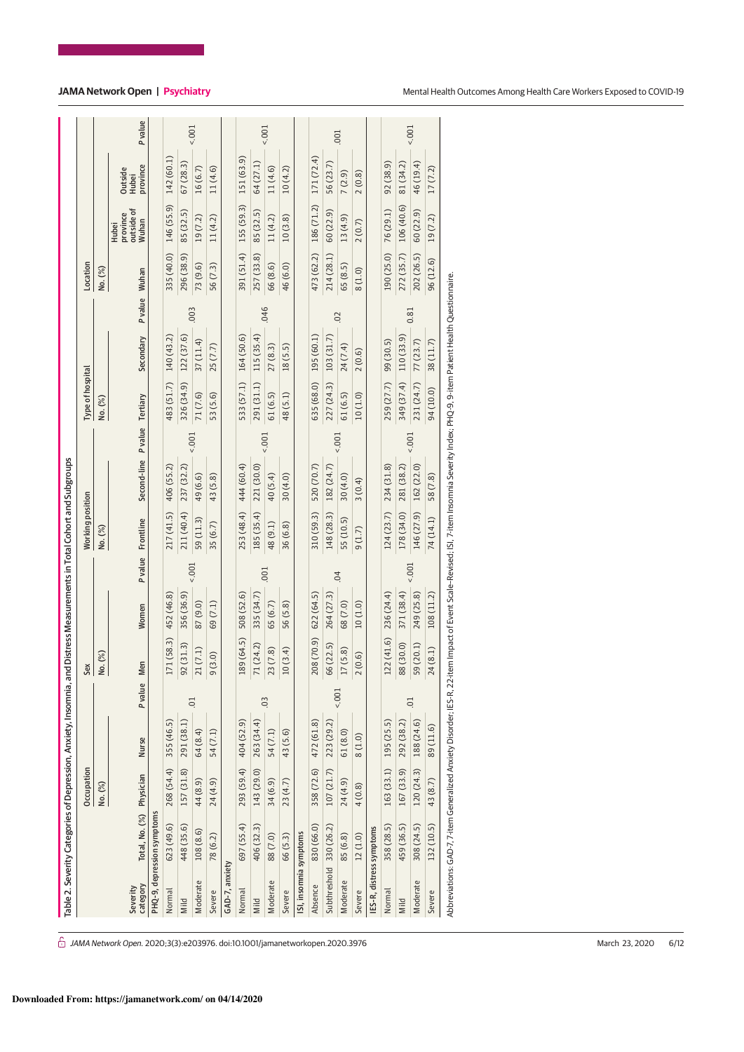|                          | Table 2. Severity Categories of Depression, Anxiety, Insomnia, and Distress Measurements in Total Cohort and Subgroups                                                                   |            |              |                  |                |                        |          |                         |                              |          |                  |            |               |            |                                                 |                              |                |
|--------------------------|------------------------------------------------------------------------------------------------------------------------------------------------------------------------------------------|------------|--------------|------------------|----------------|------------------------|----------|-------------------------|------------------------------|----------|------------------|------------|---------------|------------|-------------------------------------------------|------------------------------|----------------|
|                          |                                                                                                                                                                                          | Occupation |              |                  | $\frac{2}{36}$ |                        |          | <b>Working position</b> |                              |          | Type of hospital |            |               | Location   |                                                 |                              |                |
|                          |                                                                                                                                                                                          | No. (%)    |              |                  | No. (%)        |                        |          | No. (%)                 |                              |          | No. (%)          |            |               | No. (%)    |                                                 |                              |                |
| category<br>Severity     | Total, No. (%) Physician                                                                                                                                                                 |            | <b>Nurse</b> | Pvalue           | Men            | Women                  |          | Pvalue Frontline        | Second-line P value Tertiary |          |                  | Secondary  | P value Wuhan |            | outside of<br>province<br>Muhan<br><b>Hubei</b> | province<br>Outside<br>Hubei | <b>P</b> value |
|                          | PHQ-9, depression symptoms                                                                                                                                                               |            |              |                  |                |                        |          |                         |                              |          |                  |            |               |            |                                                 |                              |                |
| Normal                   | 623 (49.6)                                                                                                                                                                               | 268 (54.4) | 355 (46.5)   |                  | 71(58.3)       | 452 (46.8)             |          | 217 (41.5)              | 406 (55.2)                   |          | 483 (51.7)       | 140 (43.2) |               | 335 (40.0) | 146 (55.9)                                      | 142 (60.1)                   |                |
| Mild                     | 448 (35.6)                                                                                                                                                                               | 157 (31.8) | 291 (38.1)   |                  | 92(31.3)       | 356 (36.9)             |          | 211 (40.4)              | 237 (32.2)                   |          | 326 (34.9)       | 122 (37.6) |               | 296 (38.9) | 85 (32.5)                                       | 67(28.3)                     |                |
| Moderate                 | 108 (8.6)                                                                                                                                                                                | 44 (8.9)   | 64 (8.4)     | 01               | 21(7.1)        | 87 (9.0)               | $5001 -$ | 59 (11.3)               | 49 (6.6)                     | $5001 -$ | 71 (7.6)         | 37(11.4)   | .003          | 73 (9.6)   | 19(7.2)                                         | 16(6.7)                      | $5001 -$       |
| Severe                   | 78 (6.2)                                                                                                                                                                                 | 24 (4.9)   | 54 (7.1)     |                  | (3.0)<br>G     | 69(7.1)                |          | 35 (6.7)                | 43 (5.8)                     |          | 53 (5.6)         | 25 (7.7)   |               | 56(7.3)    | 11(4.2)                                         | 11(4.6)                      |                |
| GAD-7, anxiety           |                                                                                                                                                                                          |            |              |                  |                |                        |          |                         |                              |          |                  |            |               |            |                                                 |                              |                |
| Normal                   | 697 (55.4)                                                                                                                                                                               | 293 (59.4) | 404 (52.9)   |                  | 189 (64.5)     | 508 (52.6)             |          | 253 (48.4)              | 444 (60.4)                   |          | 533 (57.1)       | 164 (50.6) |               | 391(51.4)  | 155 (59.3)                                      | 151 (63.9)                   |                |
| Mild                     | 406 (32.3)                                                                                                                                                                               | 143 (29.0) | 263 (34.4)   |                  | 71 (24.2)      | 335 (34.7)             |          | 185 (35.4)              | 221 (30.0)                   |          | 291 (31.1)       | 115 (35.4) |               | 257 (33.8) | 85 (32.5)                                       | 64 (27.1)                    |                |
| Moderate                 | 88 (7.0)                                                                                                                                                                                 | 34 (6.9)   | 54 (7.1)     | $\overline{0}$   | 23(7.8)        | 65 (6.7)               | 001      | 48(9.1)                 | 40 (5.4)                     | $5001 -$ | 61(6.5)          | 27(8.3)    | 046           | 66(8.6)    | 11(4.2)                                         | 11(4.6)                      | 1001           |
| Severe                   | 66 (5.3)                                                                                                                                                                                 | 23(4.7)    | 43 (5.6)     |                  | 10(3.4)        | 56 (5.8)               |          | 36 (6.8)                | 30(4.0)                      |          | 48(5.1)          | 18(5.5)    |               | 46 (6.0)   | 10(3.8)                                         | 10(4.2)                      |                |
| ISI, insomnia symptoms   |                                                                                                                                                                                          |            |              |                  |                |                        |          |                         |                              |          |                  |            |               |            |                                                 |                              |                |
| Absence                  | 830 (66.0)                                                                                                                                                                               | 358 (72.6) | 472 (61.8)   |                  | 208 (70.9)     | 622 (64.5)             |          | 310 (59.3)              | 520 (70.7)                   |          | 635 (68.0)       | 195 (60.1) |               |            | 473 (62.2) 186 (71.2) 171 (72.4)                |                              |                |
| Subthreshold 330 (26.2)  |                                                                                                                                                                                          | 107 (21.7) | 223 (29.2)   |                  | 66 (22.5)      | 264 (27.3)             |          | 148 (28.3)              | 182 (24.7)                   |          | 227 (24.3)       | 103 (31.7) |               | 214 (28.1) | 60 (22.9)                                       | 56 (23.7)                    |                |
| Moderate                 | 85 (6.8)                                                                                                                                                                                 | 24 (4.9)   | 61(8.0)      | $1001 -$         | 17(5.8)        | 68 (7.0)               | 04       | 55 (10.5)               | 30(4.0)                      | $5001 -$ | 61(6.5)          | 24 (7.4)   | 02            | 65(8.5)    | 13(4.9)                                         | 7(2.9)                       | .001           |
| Severe                   | 12(1.0)                                                                                                                                                                                  | 4(0.8)     | 8(1.0)       |                  | (0.6)          | 10(1.0)                |          | 9(1.7)                  | 3(0.4)                       |          | 10(1.0)          | 2(0.6)     |               | 8(1.0)     | 2(0.7)                                          | 2(0.8)                       |                |
| IES-R, distress symptoms |                                                                                                                                                                                          |            |              |                  |                |                        |          |                         |                              |          |                  |            |               |            |                                                 |                              |                |
| Normal                   | 358 (28.5)                                                                                                                                                                               | 163 (33.1) | 195 (25.5)   |                  |                | $.22(41.6)$ 236 (24.4) |          | 124(23.7)               | 234 (31.8)                   |          | 259 (27.7)       | 99 (30.5)  |               | 190 (25.0) | 76 (29.1)                                       | 92 (38.9)                    |                |
| Mild                     | 459 (36.5)                                                                                                                                                                               | 167 (33.9) | 292 (38.2)   |                  | 88 (30.0)      | 371 (38.4)             |          | 178 (34.0)              | 281 (38.2)                   |          | 349 (37.4)       | 110(33.9)  |               | 272(35.7)  | 106 (40.6)                                      | 81 (34.2)                    |                |
| Moderate                 | 308 (24.5)                                                                                                                                                                               | 120(24.3)  | 188 (24.6)   | $\overline{0}$ . | 59 (20.1)      | 249 (25.8)             | $5001 -$ | 146 (27.9)              | 162 (22.0)                   | 5001     | 231 (24.7)       | 77(23.7)   | 0.81          | 202 (26.5) | 60(22.9)                                        | 46 (19.4)                    | $5001 -$       |
| Severe                   | 132 (10.5)                                                                                                                                                                               | 43 (8.7)   | 89 (11.6)    |                  | 24(8.1)        | 108 (11.2)             |          | 74 (14.1)               | 58 (7.8)                     |          | 94 (10.0)        | 38 (11.7)  |               | 96 (12.6)  | 19(7.2)                                         | 17(7.2)                      |                |
|                          | Abbreviations: GAD-7, 7-item Generalized Anxiety Disorder; IES-R, 22-item Impact of Event Scale-Revised; ISI, 7-item Insomnia Severity Index; PHQ-9.9-item Patient Health Questionnaire. |            |              |                  |                |                        |          |                         |                              |          |                  |            |               |            |                                                 |                              |                |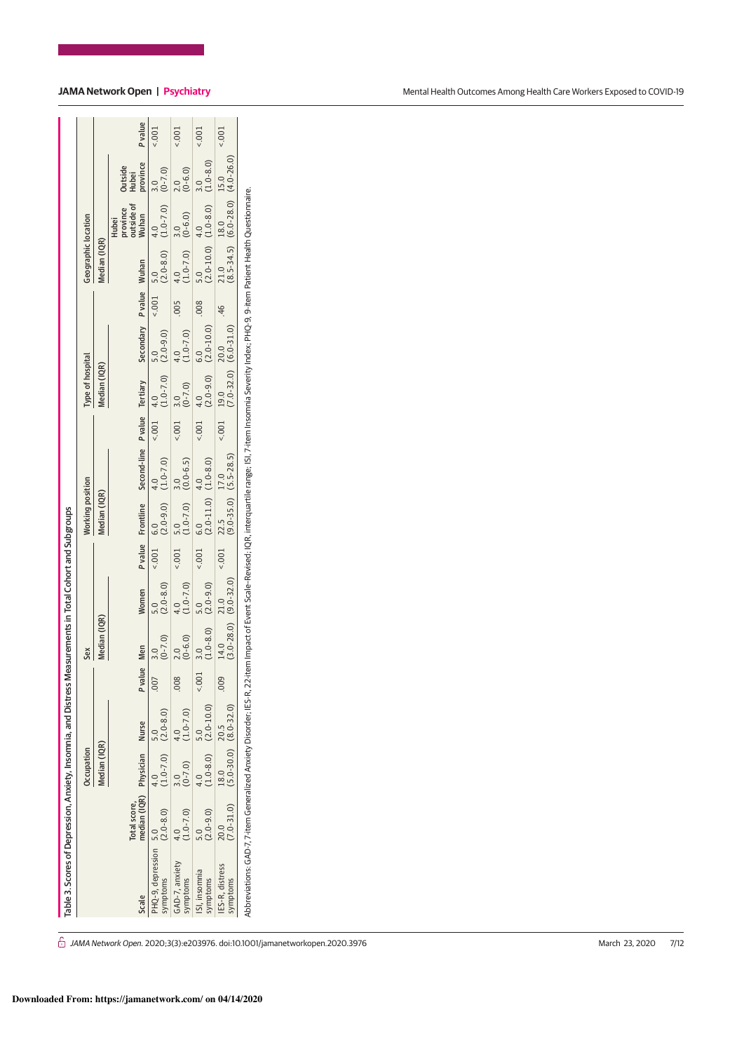| Table 3. Scores of Depression, Anxiety, Insomnia, and Distress N                                                                                                                                                    |                                              |                                   |                          |             |                         | leasurements in Total Cohort and Subgroups |              |                                                                       |                                                                        |      |                                                                        |                                               |       |                                |                                                                                          |                              |          |
|---------------------------------------------------------------------------------------------------------------------------------------------------------------------------------------------------------------------|----------------------------------------------|-----------------------------------|--------------------------|-------------|-------------------------|--------------------------------------------|--------------|-----------------------------------------------------------------------|------------------------------------------------------------------------|------|------------------------------------------------------------------------|-----------------------------------------------|-------|--------------------------------|------------------------------------------------------------------------------------------|------------------------------|----------|
|                                                                                                                                                                                                                     |                                              | Occupation                        |                          |             | Sex                     |                                            |              | Working position                                                      |                                                                        |      | Type of hospital                                                       |                                               |       | Geographic location            |                                                                                          |                              |          |
|                                                                                                                                                                                                                     |                                              | Median (IQR)                      |                          |             | Median (IQR)            |                                            |              | Median (IQR)                                                          |                                                                        |      | Median (IQR)                                                           |                                               |       | Median (IQR)                   |                                                                                          |                              |          |
| Scale                                                                                                                                                                                                               | median (IQR) Physician Nurse<br>Total score, |                                   |                          | P value Men |                         | Women                                      |              |                                                                       | P value Frontline Second-line P value Tertiary Secondary P value Wuhan |      |                                                                        |                                               |       |                                | province<br>outside of<br>Wuhan<br><b>Hubei</b>                                          | Outside<br>Hubei<br>province | Pvalue   |
| $HQ-9$ , depression 5.0<br>ymptoms                                                                                                                                                                                  | $(2.0 - 8.0)$                                |                                   | $(1.0-7.0)$ $(2.0-8.0)$  | 007         | $(0 - 7.0)$<br>3.0      | $(2.0 - 8.0)$<br>5.0                       |              | $(2.001 \t 6.0 \t 4.0 \t 4.0 \t (1.0-7.0)$                            | 4.0                                                                    |      |                                                                        | $(1.0-7.0)$ 5.0<br>(1.0-7.0) (2.0-9.0)<br>5.0 |       |                                | $(2.001 \t 5.0 \t 4.0 \t 4.0 \t (1.0-7.0))$                                              | $(0-7.0)$<br>3.0             | 5001     |
| GAD-7, anxiety<br>symptoms                                                                                                                                                                                          | $1.0 - 7.0$                                  | $(0-7.0)$                         | $(1.0 - 7.0)$            | .008        | $(0-6.0)$               | $(1.0 - 7.0)$<br>4.0                       | $\sim 100.5$ | $\begin{array}{cc} 5.0 & 3.0 \\ (1.0-7.0) & (0.0-6.5) \end{array}$    | 3.0                                                                    | 5001 | $-4$ 3.0<br>(0-7.0)                                                    | $(1.0-7.0)$<br>4.0                            | 500   | $4.0$ 3.0<br>(1.0-7.0) (0-6.0) |                                                                                          | $\frac{2.0}{(0-6.0)}$        | 5001     |
| ISI, insomnia<br>symptoms                                                                                                                                                                                           | $(0.6 - 0.2)$                                | 4.0                               | $(1.0-8.0)$ $(2.0-10.0)$ | $\leq 00$   | $\frac{3.0}{(1.0-8.0)}$ | $(2.0 - 9.0)$<br>5.0                       | 5001         | $\begin{array}{cc}\n6.0 & 4.0 \\ (2.0-11.0) & (1.0-8.0)\n\end{array}$ | $-4.0$                                                                 | 5001 | $4.0$<br>(2.0-9.0)                                                     | $6.0$<br>(2.0-10.0)                           | .008  |                                | $\begin{bmatrix} 5.0 & 4.0 \\ 2.0 \text{-} 10.0 & 1.0 \text{-} 8.0 \end{bmatrix}$<br>4.0 | $(1.0 - 8.0)$<br>3.0         | 5001     |
| IES-R, distress<br>symptoms                                                                                                                                                                                         | $(7.0 - 31.0)$<br>20.0                       | $(5.0-30.0)$ $(8.0-32.0)$<br>18.0 | 20.5                     | $000$ .     | 14.0                    | $(3.0-28.0)$ $(9.0-32.0)$<br>21.0          | 5001         | $22.5$ $17.0$<br>(9.0-35.0) (5.5-28.5)                                |                                                                        | 5001 | $\begin{array}{cc} 19.0 & 20.0 \\ (7.0-32.0) & (6.0-31.0) \end{array}$ |                                               | $-46$ |                                | 21.0 18.0 15.0<br>$(8.5-34.5)$ $(6.0-28.0)$ $(4.0-26.0)$<br>18.0                         |                              | $5001 -$ |
| Abbreviations: GAD-7, 7-item Generalized Anxiety Disorder; IES-R, 22-item Impact of Event Scale-Revised: IQR, interquartile range; ISI, 7-item Insomnia Severity Index; PHQ-9. 9-item Patient Health Questionnaire. |                                              |                                   |                          |             |                         |                                            |              |                                                                       |                                                                        |      |                                                                        |                                               |       |                                |                                                                                          |                              |          |

# **JAMA Network Open | Psychiatry**

| Mental Health Outcomes Among Health Care Workers Exposed to COVID-19 |
|----------------------------------------------------------------------|
|----------------------------------------------------------------------|

 $\hat{\Box}$  JAMA Network Open. 2020;3(3):e203976. doi:10.1001/jamanetworkopen.2020.3976 March 23, 2020 7/12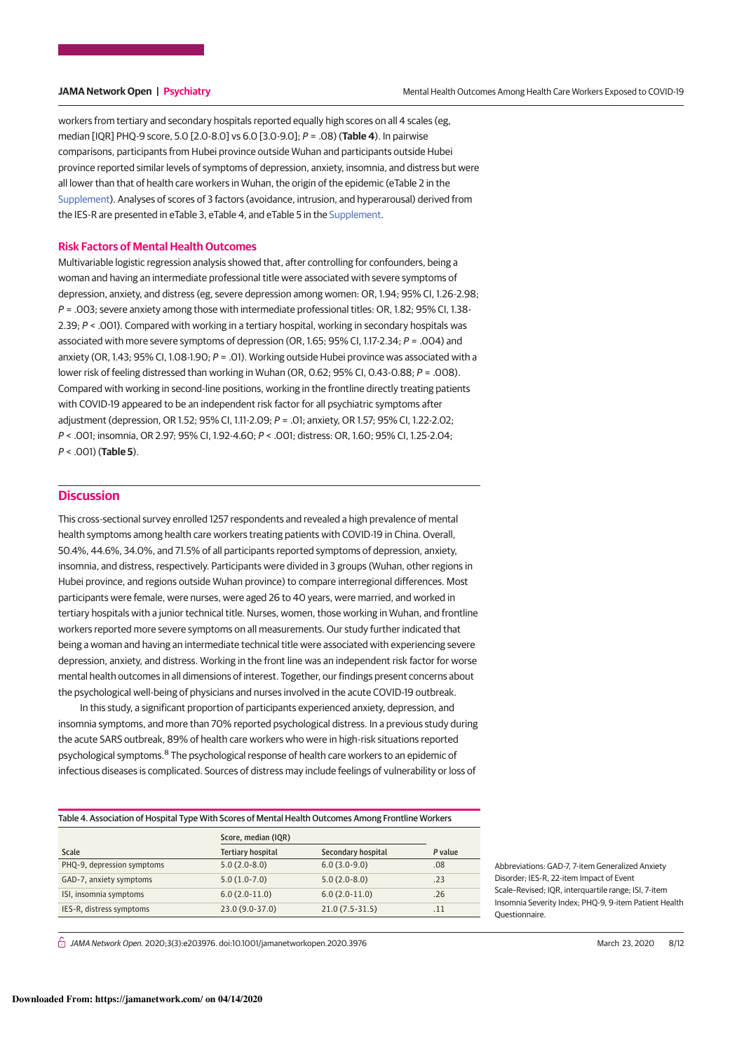workers from tertiary and secondary hospitals reported equally high scores on all 4 scales (eg, median [IQR] PHQ-9 score, 5.0 [2.0-8.0] vs 6.0 [3.0-9.0]; P = .08) (**Table 4**). In pairwise comparisons, participants from Hubei province outside Wuhan and participants outside Hubei province reported similar levels of symptoms of depression, anxiety, insomnia, and distress but were all lower than that of health care workers in Wuhan, the origin of the epidemic (eTable 2 in the Supplement). Analyses of scores of 3 factors (avoidance, intrusion, and hyperarousal) derived from the IES-R are presented in eTable 3, eTable 4, and eTable 5 in the Supplement.

### **Risk Factors of Mental Health Outcomes**

Multivariable logistic regression analysis showed that, after controlling for confounders, being a woman and having an intermediate professional title were associated with severe symptoms of depression, anxiety, and distress (eg, severe depression among women: OR, 1.94; 95% CI, 1.26-2.98; P = .003; severe anxiety among those with intermediate professional titles: OR, 1.82; 95% CI, 1.38- 2.39; P < .001). Compared with working in a tertiary hospital, working in secondary hospitals was associated with more severe symptoms of depression (OR, 1.65; 95% CI, 1.17-2.34; P = .004) and anxiety (OR, 1.43; 95% CI, 1.08-1.90;  $P = .01$ ). Working outside Hubei province was associated with a lower risk of feeling distressed than working in Wuhan (OR, 0.62; 95% CI, 0.43-0.88; P = .008). Compared with working in second-line positions, working in the frontline directly treating patients with COVID-19 appeared to be an independent risk factor for all psychiatric symptoms after adjustment (depression, OR 1.52; 95% CI, 1.11-2.09; P = .01; anxiety, OR 1.57; 95% CI, 1.22-2.02; P < .001; insomnia, OR 2.97; 95% CI, 1.92-4.60; P < .001; distress: OR, 1.60; 95% CI, 1.25-2.04; P < .001) (**Table 5**).

# **Discussion**

This cross-sectional survey enrolled 1257 respondents and revealed a high prevalence of mental health symptoms among health care workers treating patients with COVID-19 in China. Overall, 50.4%, 44.6%, 34.0%, and 71.5% of all participants reported symptoms of depression, anxiety, insomnia, and distress, respectively. Participants were divided in 3 groups (Wuhan, other regions in Hubei province, and regions outside Wuhan province) to compare interregional differences. Most participants were female, were nurses, were aged 26 to 40 years, were married, and worked in tertiary hospitals with a junior technical title. Nurses, women, those working in Wuhan, and frontline workers reported more severe symptoms on all measurements. Our study further indicated that being a woman and having an intermediate technical title were associated with experiencing severe depression, anxiety, and distress. Working in the front line was an independent risk factor for worse mental health outcomes in all dimensions of interest. Together, our findings present concerns about the psychological well-being of physicians and nurses involved in the acute COVID-19 outbreak.

In this study, a significant proportion of participants experienced anxiety, depression, and insomnia symptoms, and more than 70% reported psychological distress. In a previous study during the acute SARS outbreak, 89% of health care workers who were in high-risk situations reported psychological symptoms.<sup>8</sup> The psychological response of health care workers to an epidemic of infectious diseases is complicated. Sources of distress may include feelings of vulnerability or loss of

Table 4. Association of Hospital Type With Scores of Mental Health Outcomes Among Frontline Workers Scale Score, median (IQR) Tertiary hospital Secondary hospital P value PHQ-9, depression symptoms 5.0 (2.0-8.0) 6.0 (3.0-9.0) 6.0 (3.0-9.0) .08 GAD-7, anxiety symptoms 5.0 (1.0-7.0) 5.0 (2.0-8.0) .23 ISI, insomnia symptoms 6.0 (2.0-11.0) 6.0 (2.0-11.0) .26 IES-R, distress symptoms 23.0 (9.0-37.0) 21.0 (7.5-31.5) .11

 $\hat{\Box}$  JAMA Network Open. 2020;3(3):e203976. doi:10.1001/jamanetworkopen.2020.3976 (Reprinted) March 23, 2020 8/12

Abbreviations: GAD-7, 7-item Generalized Anxiety Disorder; IES-R, 22-item Impact of Event Scale–Revised; IQR, interquartile range; ISI, 7-item Insomnia Severity Index; PHQ-9, 9-item Patient Health Questionnaire.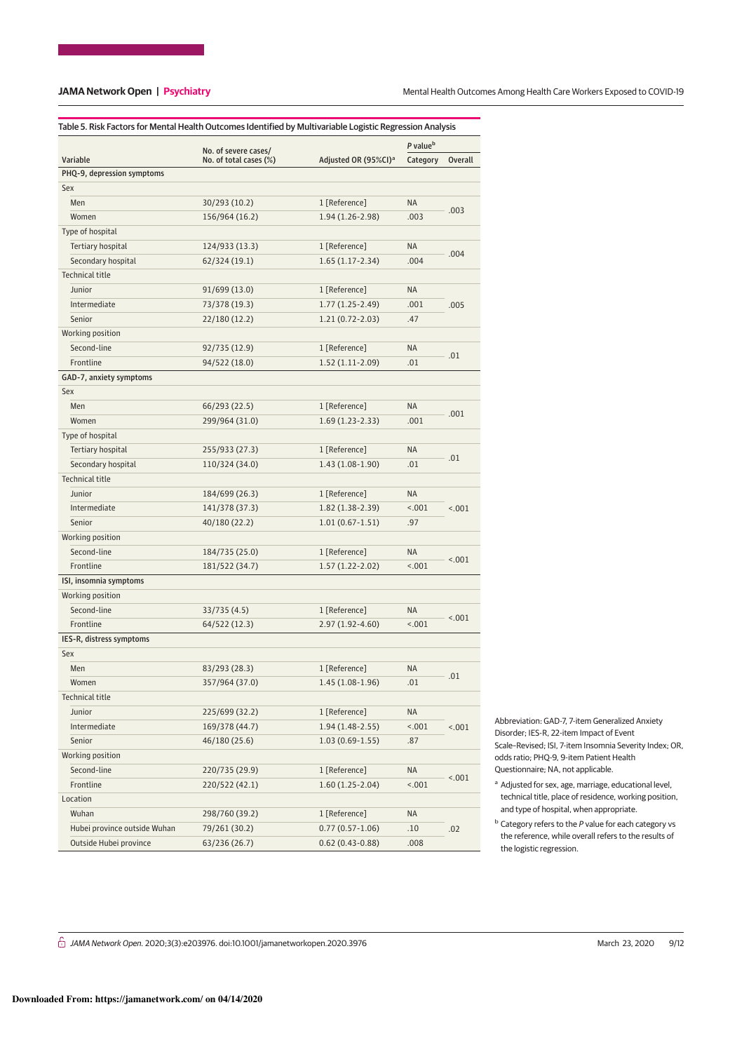|                                 |                                                |                                  | P value <sup>b</sup> |         |
|---------------------------------|------------------------------------------------|----------------------------------|----------------------|---------|
| Variable                        | No. of severe cases/<br>No. of total cases (%) | Adjusted OR (95%CI) <sup>a</sup> | Category             | Overall |
| PHQ-9, depression symptoms      |                                                |                                  |                      |         |
| Sex                             |                                                |                                  |                      |         |
| Men                             | 30/293 (10.2)                                  | 1 [Reference]                    | <b>NA</b>            |         |
| Women                           | 156/964 (16.2)                                 | 1.94 (1.26-2.98)                 | .003                 | .003    |
| Type of hospital                |                                                |                                  |                      |         |
| Tertiary hospital               | 124/933 (13.3)                                 | 1 [Reference]                    | <b>NA</b>            |         |
| Secondary hospital              | 62/324 (19.1)                                  | $1.65(1.17-2.34)$                | .004                 | .004    |
| <b>Technical title</b>          |                                                |                                  |                      |         |
| Junior                          | 91/699 (13.0)                                  | 1 [Reference]                    | <b>NA</b>            |         |
| Intermediate                    | 73/378 (19.3)                                  | 1.77 (1.25-2.49)                 | .001                 | .005    |
| Senior                          | 22/180 (12.2)                                  | 1.21 (0.72-2.03)                 | .47                  |         |
| Working position                |                                                |                                  |                      |         |
| Second-line                     | 92/735 (12.9)                                  | 1 [Reference]                    | <b>NA</b>            |         |
| Frontline                       | 94/522 (18.0)                                  | $1.52(1.11-2.09)$                | .01                  | .01     |
| GAD-7, anxiety symptoms         |                                                |                                  |                      |         |
| Sex                             |                                                |                                  |                      |         |
| Men                             | 66/293 (22.5)                                  | 1 [Reference]                    | <b>NA</b>            |         |
| Women                           | 299/964 (31.0)                                 | 1.69 (1.23-2.33)                 | .001                 | .001    |
| Type of hospital                |                                                |                                  |                      |         |
| Tertiary hospital               | 255/933 (27.3)                                 | 1 [Reference]                    | <b>NA</b>            |         |
| Secondary hospital              | 110/324 (34.0)                                 | $1.43(1.08-1.90)$                | .01                  | .01     |
| <b>Technical title</b>          |                                                |                                  |                      |         |
| Junior                          | 184/699 (26.3)                                 | 1 [Reference]                    | <b>NA</b>            |         |
| Intermediate                    | 141/378 (37.3)                                 | $1.82(1.38-2.39)$                | < .001               | < .001  |
| Senior                          | 40/180 (22.2)                                  | $1.01(0.67-1.51)$                | .97                  |         |
| Working position                |                                                |                                  |                      |         |
| Second-line                     | 184/735 (25.0)                                 | 1 [Reference]                    | NA.                  |         |
| Frontline                       | 181/522 (34.7)                                 | 1.57 (1.22-2.02)                 | 15.001               | < .001  |
| ISI, insomnia symptoms          |                                                |                                  |                      |         |
| Working position                |                                                |                                  |                      |         |
| Second-line                     | 33/735 (4.5)                                   | 1 [Reference]                    | <b>NA</b>            |         |
| Frontline                       | 64/522 (12.3)                                  | 2.97 (1.92-4.60)                 | < .001               | < .001  |
| IES-R, distress symptoms        |                                                |                                  |                      |         |
| Sex                             |                                                |                                  |                      |         |
| Men                             | 83/293 (28.3)                                  | 1 [Reference]                    | <b>NA</b>            |         |
|                                 |                                                |                                  | .01                  | .01     |
| Women<br><b>Technical title</b> | 357/964 (37.0)                                 | 1.45 (1.08-1.96)                 |                      |         |
| Junior                          |                                                | 1 [Reference]                    | <b>NA</b>            |         |
| Intermediate                    | 225/699 (32.2)<br>169/378 (44.7)               |                                  |                      |         |
|                                 |                                                | $1.94(1.48-2.55)$                | 1001                 | < .001  |
| Senior                          | 46/180 (25.6)                                  | $1.03(0.69-1.55)$                | .87                  |         |
| Working position                |                                                |                                  |                      |         |
| Second-line                     | 220/735 (29.9)                                 | 1 [Reference]                    | NA                   | < .001  |
| Frontline                       | 220/522 (42.1)                                 | $1.60(1.25-2.04)$                | 15.001               |         |
| Location                        |                                                |                                  |                      |         |
| Wuhan                           | 298/760 (39.2)                                 | 1 [Reference]                    | NA                   |         |
| Hubei province outside Wuhan    | 79/261 (30.2)                                  | $0.77(0.57 - 1.06)$              | .10                  | .02     |
| Outside Hubei province          | 63/236 (26.7)                                  | $0.62(0.43 - 0.88)$              | .008                 |         |

Abbreviation: GAD-7, 7-item Generalized Anxiety Disorder; IES-R, 22-item Impact of Event Scale–Revised; ISI, 7-item Insomnia Severity Index; OR, odds ratio; PHQ-9, 9-item Patient Health Questionnaire; NA, not applicable.

- <sup>a</sup> Adjusted for sex, age, marriage, educational level, technical title, place of residence, working position, and type of hospital, when appropriate.
- **b** Category refers to the P value for each category vs the reference, while overall refers to the results of the logistic regression.

 $G$  JAMA Network Open. 2020;3(3):e203976. doi:10.1001/jamanetworkopen.2020.3976 (Reprinted) March 23, 2020 9/12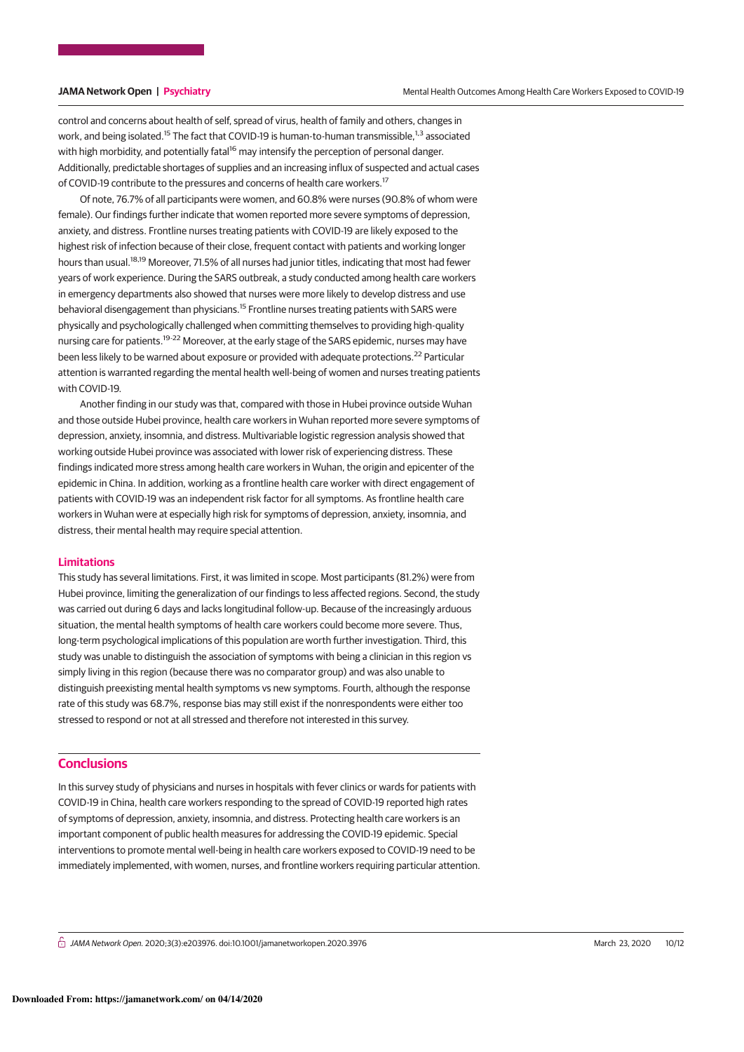control and concerns about health of self, spread of virus, health of family and others, changes in work, and being isolated.<sup>15</sup> The fact that COVID-19 is human-to-human transmissible.<sup>1,3</sup> associated with high morbidity, and potentially fatal<sup>16</sup> may intensify the perception of personal danger. Additionally, predictable shortages of supplies and an increasing influx of suspected and actual cases of COVID-19 contribute to the pressures and concerns of health care workers.<sup>17</sup>

Of note, 76.7% of all participants were women, and 60.8% were nurses (90.8% of whom were female). Our findings further indicate that women reported more severe symptoms of depression, anxiety, and distress. Frontline nurses treating patients with COVID-19 are likely exposed to the highest risk of infection because of their close, frequent contact with patients and working longer hours than usual.<sup>18,19</sup> Moreover, 71.5% of all nurses had junior titles, indicating that most had fewer years of work experience. During the SARS outbreak, a study conducted among health care workers in emergency departments also showed that nurses were more likely to develop distress and use behavioral disengagement than physicians.<sup>15</sup> Frontline nurses treating patients with SARS were physically and psychologically challenged when committing themselves to providing high-quality nursing care for patients.<sup>19-22</sup> Moreover, at the early stage of the SARS epidemic, nurses may have been less likely to be warned about exposure or provided with adequate protections.<sup>22</sup> Particular attention is warranted regarding the mental health well-being of women and nurses treating patients with COVID-19.

Another finding in our study was that, compared with those in Hubei province outside Wuhan and those outside Hubei province, health care workers in Wuhan reported more severe symptoms of depression, anxiety, insomnia, and distress. Multivariable logistic regression analysis showed that working outside Hubei province was associated with lower risk of experiencing distress. These findings indicated more stress among health care workers in Wuhan, the origin and epicenter of the epidemic in China. In addition, working as a frontline health care worker with direct engagement of patients with COVID-19 was an independent risk factor for all symptoms. As frontline health care workers in Wuhan were at especially high risk for symptoms of depression, anxiety, insomnia, and distress, their mental health may require special attention.

# **Limitations**

This study has several limitations. First, it was limited in scope. Most participants (81.2%) were from Hubei province, limiting the generalization of our findings to less affected regions. Second, the study was carried out during 6 days and lacks longitudinal follow-up. Because of the increasingly arduous situation, the mental health symptoms of health care workers could become more severe. Thus, long-term psychological implications of this population are worth further investigation. Third, this study was unable to distinguish the association of symptoms with being a clinician in this region vs simply living in this region (because there was no comparator group) and was also unable to distinguish preexisting mental health symptoms vs new symptoms. Fourth, although the response rate of this study was 68.7%, response bias may still exist if the nonrespondents were either too stressed to respond or not at all stressed and therefore not interested in this survey.

# **Conclusions**

In this survey study of physicians and nurses in hospitals with fever clinics or wards for patients with COVID-19 in China, health care workers responding to the spread of COVID-19 reported high rates of symptoms of depression, anxiety, insomnia, and distress. Protecting health care workers is an important component of public health measures for addressing the COVID-19 epidemic. Special interventions to promote mental well-being in health care workers exposed to COVID-19 need to be immediately implemented, with women, nurses, and frontline workers requiring particular attention.

 $\stackrel{\frown}{\Box}$  JAMA Network Open. 2020:3(3):e203976. doi:10.1001/jamanetworkopen.2020.3976 (Reprinted) March 23, 2020 10/12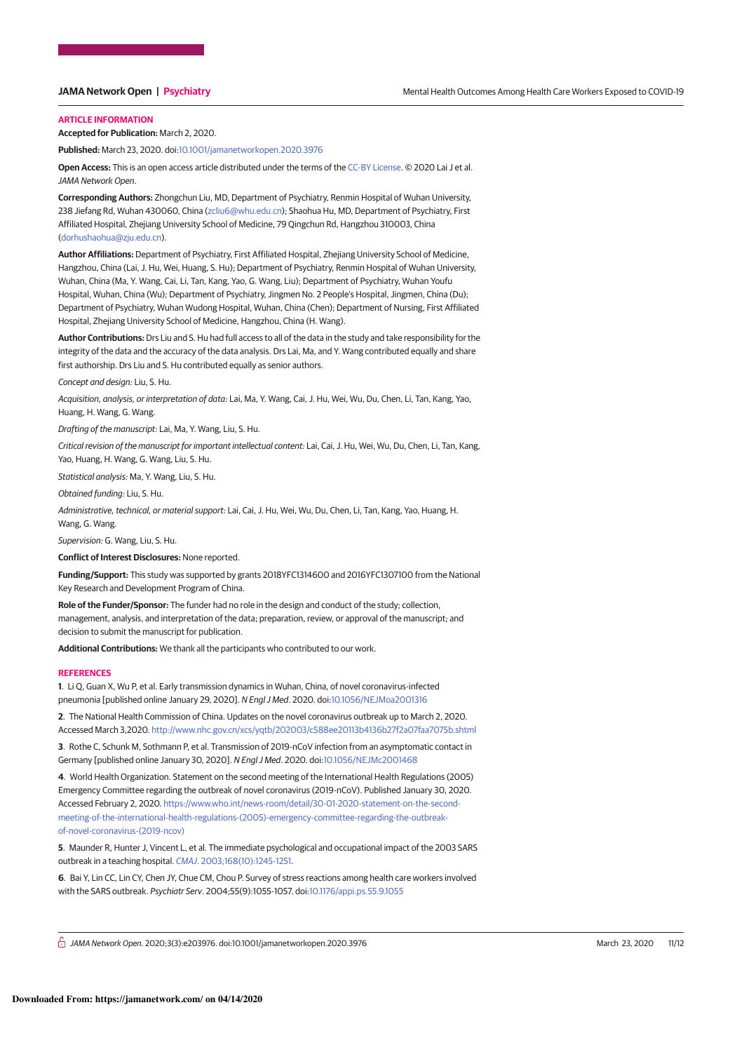# **ARTICLE INFORMATION**

**Accepted for Publication:** March 2, 2020.

**Published:** March 23, 2020. doi:10.1001/jamanetworkopen.2020.3976

**Open Access:** This is an open access article distributed under the terms of the CC-BY License. © 2020 Lai J et al. JAMA Network Open.

**Corresponding Authors:** Zhongchun Liu, MD, Department of Psychiatry, Renmin Hospital of Wuhan University, 238 Jiefang Rd, Wuhan 430060, China (zcliu6@whu.edu.cn); Shaohua Hu, MD, Department of Psychiatry, First Affiliated Hospital, Zhejiang University School of Medicine, 79 Qingchun Rd, Hangzhou 310003, China (dorhushaohua@zju.edu.cn).

**Author Affiliations:** Department of Psychiatry, First Affiliated Hospital, Zhejiang University School of Medicine, Hangzhou, China (Lai, J. Hu, Wei, Huang, S. Hu); Department of Psychiatry, Renmin Hospital of Wuhan University, Wuhan, China (Ma, Y. Wang, Cai, Li, Tan, Kang, Yao, G. Wang, Liu); Department of Psychiatry, Wuhan Youfu Hospital, Wuhan, China (Wu); Department of Psychiatry, Jingmen No. 2 People's Hospital, Jingmen, China (Du); Department of Psychiatry, Wuhan Wudong Hospital, Wuhan, China (Chen); Department of Nursing, First Affiliated Hospital, Zhejiang University School of Medicine, Hangzhou, China (H. Wang).

**Author Contributions:** Drs Liu and S. Hu had full access to all of the data in the study and take responsibility for the integrity of the data and the accuracy of the data analysis. Drs Lai, Ma, and Y. Wang contributed equally and share first authorship. Drs Liu and S. Hu contributed equally as senior authors.

Concept and design: Liu, S. Hu.

Acquisition, analysis, or interpretation of data: Lai, Ma, Y. Wang, Cai, J. Hu, Wei, Wu, Du, Chen, Li, Tan, Kang, Yao, Huang, H. Wang, G. Wang.

Drafting of the manuscript: Lai, Ma, Y. Wang, Liu, S. Hu.

Critical revision of the manuscript for important intellectual content: Lai, Cai, J. Hu, Wei, Wu, Du, Chen, Li, Tan, Kang, Yao, Huang, H. Wang, G. Wang, Liu, S. Hu.

Statistical analysis: Ma, Y. Wang, Liu, S. Hu.

Obtained funding: Liu, S. Hu.

Administrative, technical, or material support: Lai, Cai, J. Hu, Wei, Wu, Du, Chen, Li, Tan, Kang, Yao, Huang, H. Wang, G. Wang.

Supervision: G. Wang, Liu, S. Hu.

**Conflict of Interest Disclosures:** None reported.

**Funding/Support:** This study was supported by grants 2018YFC1314600 and 2016YFC1307100 from the National Key Research and Development Program of China.

**Role of the Funder/Sponsor:** The funder had no role in the design and conduct of the study; collection, management, analysis, and interpretation of the data; preparation, review, or approval of the manuscript; and decision to submit the manuscript for publication.

**Additional Contributions:** We thank all the participants who contributed to our work.

### **REFERENCES**

**1**. Li Q, Guan X, Wu P, et al. Early transmission dynamics in Wuhan, China, of novel coronavirus-infected pneumonia [published online January 29, 2020]. N Engl J Med. 2020. doi:10.1056/NEJMoa2001316

**2**. The National Health Commission of China. Updates on the novel coronavirus outbreak up to March 2, 2020. Accessed March 3,2020. http://www.nhc.gov.cn/xcs/yqtb/202003/c588ee20113b4136b27f2a07faa7075b.shtml

**3**. Rothe C, Schunk M, Sothmann P, et al. Transmission of 2019-nCoV infection from an asymptomatic contact in Germany [published online January 30, 2020]. N Engl J Med. 2020. doi:10.1056/NEJMc2001468

**4**. World Health Organization. Statement on the second meeting of the International Health Regulations (2005) Emergency Committee regarding the outbreak of novel coronavirus (2019-nCoV). Published January 30, 2020. Accessed February 2, 2020. https://www.who.int/news-room/detail/30-01-2020-statement-on-the-secondmeeting-of-the-international-health-regulations-(2005)-emergency-committee-regarding-the-outbreakof-novel-coronavirus-(2019-ncov)

**5**. Maunder R, Hunter J, Vincent L, et al. The immediate psychological and occupational impact of the 2003 SARS outbreak in a teaching hospital. CMAJ. 2003;168(10):1245-1251.

**6**. Bai Y, Lin CC, Lin CY, Chen JY, Chue CM, Chou P. Survey of stress reactions among health care workers involved with the SARS outbreak. Psychiatr Serv. 2004;55(9):1055-1057. doi:10.1176/appi.ps.55.9.1055

 $\hat{\Box}$  JAMA Network Open. 2020;3(3):e203976. doi:10.1001/jamanetworkopen.2020.3976 (Reprinted) March 23, 2020 11/12